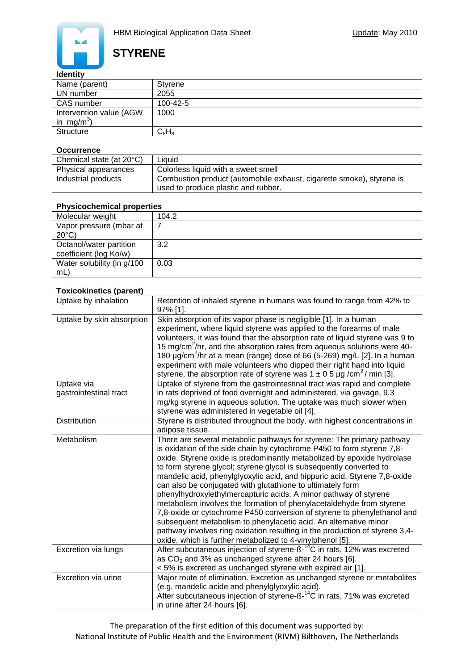

# **STYRENE**

### **Identity**

| Name (parent)           | Styrene        |
|-------------------------|----------------|
| UN number               | 2055           |
| CAS number              | $100 - 42 - 5$ |
| Intervention value (AGW | 1000           |
| in mg/m <sup>3</sup> )  |                |
| <b>Structure</b>        | $C_8H_8$       |

#### **Occurrence**

| Chemical state (at 20°C) | Liauid                                                                                                      |
|--------------------------|-------------------------------------------------------------------------------------------------------------|
| Physical appearances     | Colorless liquid with a sweet smell                                                                         |
| Industrial products      | Combustion product (automobile exhaust, cigarette smoke), styrene is<br>used to produce plastic and rubber. |

### **Physicochemical properties**

| Molecular weight           | 104.2 |
|----------------------------|-------|
| Vapor pressure (mbar at    |       |
| $20^{\circ}$ C)            |       |
| Octanol/water partition    | 3.2   |
| coefficient (log Ko/w)     |       |
| Water solubility (in g/100 | 0.03  |
| $mL$ )                     |       |

#### **Toxicokinetics (parent)**

| Uptake by inhalation                 | Retention of inhaled styrene in humans was found to range from 42% to<br>97% [1].                                                                                                                                                                                                                                                                                                                                                                                                                                                                                                                                                                                                                                                                                                                                                                                                  |
|--------------------------------------|------------------------------------------------------------------------------------------------------------------------------------------------------------------------------------------------------------------------------------------------------------------------------------------------------------------------------------------------------------------------------------------------------------------------------------------------------------------------------------------------------------------------------------------------------------------------------------------------------------------------------------------------------------------------------------------------------------------------------------------------------------------------------------------------------------------------------------------------------------------------------------|
| Uptake by skin absorption            | Skin absorption of its vapor phase is negligible [1]. In a human<br>experiment, where liquid styrene was applied to the forearms of male<br>volunteers, it was found that the absorption rate of liquid styrene was 9 to<br>15 mg/cm <sup>2</sup> /hr, and the absorption rates from aqueous solutions were 40-<br>180 $\mu$ g/cm <sup>2</sup> /hr at a mean (range) dose of 66 (5-269) mg/L [2]. In a human<br>experiment with male volunteers who dipped their right hand into liquid<br>styrene, the absorption rate of styrene was $1 \pm 0.5$ µg /cm <sup>2</sup> / min [3].                                                                                                                                                                                                                                                                                                  |
| Uptake via<br>gastrointestinal tract | Uptake of styrene from the gastrointestinal tract was rapid and complete<br>in rats deprived of food overnight and administered, via gavage, 9.3<br>mg/kg styrene in aqueous solution. The uptake was much slower when<br>styrene was administered in vegetable oil [4].                                                                                                                                                                                                                                                                                                                                                                                                                                                                                                                                                                                                           |
| <b>Distribution</b>                  | Styrene is distributed throughout the body, with highest concentrations in<br>adipose tissue.                                                                                                                                                                                                                                                                                                                                                                                                                                                                                                                                                                                                                                                                                                                                                                                      |
| Metabolism                           | There are several metabolic pathways for styrene: The primary pathway<br>is oxidation of the side chain by cytochrome P450 to form styrene 7,8-<br>oxide. Styrene oxide is predominantly metabolized by epoxide hydrolase<br>to form styrene glycol; styrene glycol is subsequently converted to<br>mandelic acid, phenylglyoxylic acid, and hippuric acid. Styrene 7,8-oxide<br>can also be conjugated with glutathione to ultimately form<br>phenylhydroxylethylmercapturic acids. A minor pathway of styrene<br>metabolism involves the formation of phenylacetaldehyde from styrene<br>7,8-oxide or cytochrome P450 conversion of styrene to phenylethanol and<br>subsequent metabolism to phenylacetic acid. An alternative minor<br>pathway involves ring oxidation resulting in the production of styrene 3,4-<br>oxide, which is further metabolized to 4-vinylphenol [5]. |
| Excretion via lungs                  | After subcutaneous injection of styrene-ß- <sup>14</sup> C in rats, 12% was excreted<br>as $CO2$ and 3% as unchanged styrene after 24 hours [6].<br>< 5% is excreted as unchanged styrene with expired air [1].                                                                                                                                                                                                                                                                                                                                                                                                                                                                                                                                                                                                                                                                    |
| Excretion via urine                  | Major route of elimination. Excretion as unchanged styrene or metabolites<br>(e.g. mandelic acide and phenylglyoxylic acid).<br>After subcutaneous injection of styrene-ß- <sup>14</sup> C in rats, 71% was excreted<br>in urine after 24 hours [6].                                                                                                                                                                                                                                                                                                                                                                                                                                                                                                                                                                                                                               |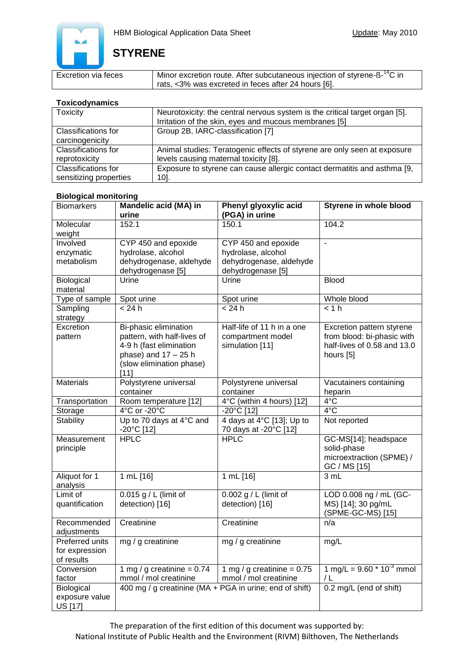

# **STYRENE**

| Excretion via feces | I Minor excretion route. After subcutaneous injection of styrene-ß- <sup>14</sup> C in |
|---------------------|----------------------------------------------------------------------------------------|
|                     | rats, <3% was excreted in feces after 24 hours [6].                                    |

### **Toxicodynamics**

| <u>i VAIVVU yhiämivy</u>   |                                                                             |  |
|----------------------------|-----------------------------------------------------------------------------|--|
| <b>Toxicity</b>            | Neurotoxicity: the central nervous system is the critical target organ [5]. |  |
|                            | Irritation of the skin, eyes and mucous membranes [5]                       |  |
| Classifications for        | Group 2B, IARC-classification [7]                                           |  |
| carcinogenicity            |                                                                             |  |
| <b>Classifications for</b> | Animal studies: Teratogenic effects of styrene are only seen at exposure    |  |
| reprotoxicity              | levels causing maternal toxicity [8].                                       |  |
| Classifications for        | Exposure to styrene can cause allergic contact dermatitis and asthma [9,    |  |
| sensitizing properties     | $10$ .                                                                      |  |

### **Biological monitoring**

| <b>Biomarkers</b>                               | Mandelic acid (MA) in<br>urine                                                                                                                  | Phenyl glyoxylic acid<br>(PGA) in urine                                                   | Styrene in whole blood                                                                              |
|-------------------------------------------------|-------------------------------------------------------------------------------------------------------------------------------------------------|-------------------------------------------------------------------------------------------|-----------------------------------------------------------------------------------------------------|
| Molecular<br>weight                             | 152.1                                                                                                                                           | 150.1                                                                                     | 104.2                                                                                               |
| Involved<br>enzymatic<br>metabolism             | CYP 450 and epoxide<br>hydrolase, alcohol<br>dehydrogenase, aldehyde<br>dehydrogenase [5]                                                       | CYP 450 and epoxide<br>hydrolase, alcohol<br>dehydrogenase, aldehyde<br>dehydrogenase [5] | L.                                                                                                  |
| Biological<br>material                          | Urine                                                                                                                                           | Urine                                                                                     | <b>Blood</b>                                                                                        |
| Type of sample                                  | Spot urine                                                                                                                                      | Spot urine                                                                                | Whole blood                                                                                         |
| Sampling<br>strategy                            | < 24 h                                                                                                                                          | < 24 h                                                                                    | < 1 h                                                                                               |
| Excretion<br>pattern                            | Bi-phasic elimination<br>pattern, with half-lives of<br>4-9 h (fast elimination<br>phase) and $17 - 25$ h<br>(slow elimination phase)<br>$[11]$ | Half-life of 11 h in a one<br>compartment model<br>simulation [11]                        | Excretion pattern styrene<br>from blood: bi-phasic with<br>half-lives of 0.58 and 13.0<br>hours [5] |
| <b>Materials</b>                                | Polystyrene universal<br>container                                                                                                              | Polystyrene universal<br>container                                                        | Vacutainers containing<br>heparin                                                                   |
| Transportation                                  | Room temperature [12]                                                                                                                           | 4°C (within 4 hours) [12]                                                                 | $4^{\circ}$ C                                                                                       |
| Storage                                         | 4°C or -20°C                                                                                                                                    | -20°C [12]                                                                                | $4^{\circ}$ C                                                                                       |
| Stability                                       | Up to 70 days at 4°C and<br>-20°C [12]                                                                                                          | 4 days at 4°C [13]; Up to<br>70 days at -20°C [12]                                        | Not reported                                                                                        |
| Measurement<br>principle                        | <b>HPLC</b>                                                                                                                                     | HPLC                                                                                      | GC-MS[14]; headspace<br>solid-phase<br>microextraction (SPME) /<br>GC / MS [15]                     |
| Aliquot for 1<br>analysis                       | 1 mL [16]                                                                                                                                       | 1 mL[16]                                                                                  | 3 mL                                                                                                |
| Limit of<br>quantification                      | 0.015 g / L (limit of<br>detection) [16]                                                                                                        | 0.002 g / L (limit of<br>detection) [16]                                                  | LOD 0.008 ng / mL (GC-<br>MS) [14]; 30 pg/mL<br>(SPME-GC-MS) [15]                                   |
| Recommended<br>adjustments                      | Creatinine                                                                                                                                      | Creatinine                                                                                | n/a                                                                                                 |
| Preferred units<br>for expression<br>of results | mg / g creatinine                                                                                                                               | mg / g creatinine                                                                         | mg/L                                                                                                |
| Conversion                                      | 1 mg / g creatinine = $0.74$                                                                                                                    | 1 mg / g creatinine = $0.75$                                                              | 1 mg/L = $9.60 * 10^{-3}$ mmol                                                                      |
| factor                                          | mmol / mol creatinine                                                                                                                           | mmol / mol creatinine                                                                     | / L                                                                                                 |
| Biological<br>exposure value<br>US [17]         | 400 mg / g creatinine (MA + PGA in urine; end of shift)                                                                                         |                                                                                           | 0.2 mg/L (end of shift)                                                                             |

The preparation of the first edition of this document was supported by: National Institute of Public Health and the Environment (RIVM) Bilthoven, The Netherlands